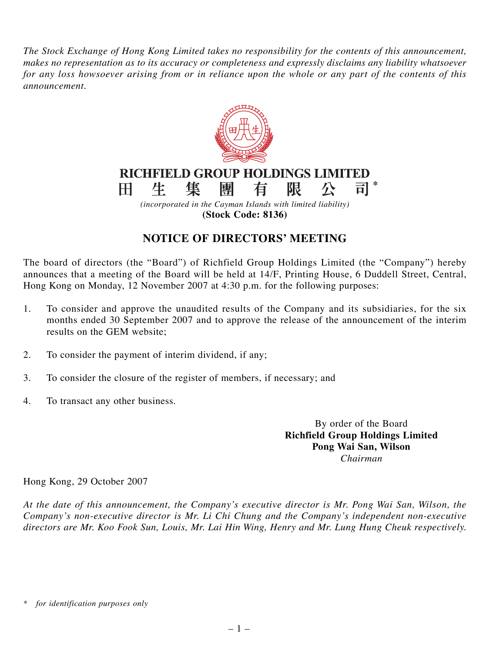*The Stock Exchange of Hong Kong Limited takes no responsibility for the contents of this announcement, makes no representation as to its accuracy or completeness and expressly disclaims any liability whatsoever for any loss howsoever arising from or in reliance upon the whole or any part of the contents of this announcement.*



**(Stock Code: 8136)**

## **NOTICE OF DIRECTORS' MEETING**

The board of directors (the "Board") of Richfield Group Holdings Limited (the "Company") hereby announces that a meeting of the Board will be held at 14/F, Printing House, 6 Duddell Street, Central, Hong Kong on Monday, 12 November 2007 at 4:30 p.m. for the following purposes:

- 1. To consider and approve the unaudited results of the Company and its subsidiaries, for the six months ended 30 September 2007 and to approve the release of the announcement of the interim results on the GEM website;
- 2. To consider the payment of interim dividend, if any;
- 3. To consider the closure of the register of members, if necessary; and
- 4. To transact any other business.

By order of the Board **Richfield Group Holdings Limited Pong Wai San, Wilson** *Chairman*

Hong Kong, 29 October 2007

*At the date of this announcement, the Company's executive director is Mr. Pong Wai San, Wilson, the Company's non-executive director is Mr. Li Chi Chung and the Company's independent non-executive directors are Mr. Koo Fook Sun, Louis, Mr. Lai Hin Wing, Henry and Mr. Lung Hung Cheuk respectively.*

*<sup>\*</sup> for identification purposes only*